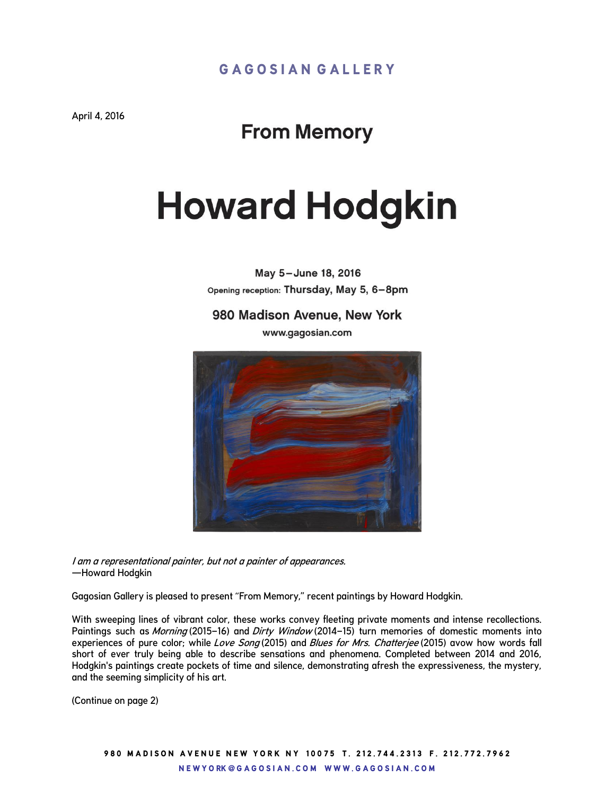April 4, 2016

## **From Memory**

## **Howard Hodgkin**

May 5-June 18, 2016 Opening reception: Thursday, May 5, 6-8pm

980 Madison Avenue, New York

www.gagosian.com



I am a representational painter, but not a painter of appearances. —Howard Hodgkin

Gagosian Gallery is pleased to present "From Memory," recent paintings by Howard Hodgkin.

With sweeping lines of vibrant color, these works convey fleeting private moments and intense recollections. Paintings such as Morning (2015–16) and Dirty Window (2014–15) turn memories of domestic moments into experiences of pure color; while Love Song (2015) and Blues for Mrs. Chatterjee (2015) avow how words fall short of ever truly being able to describe sensations and phenomena. Completed between 2014 and 2016, Hodgkin's paintings create pockets of time and silence, demonstrating afresh the expressiveness, the mystery, and the seeming simplicity of his art.

(Continue on page 2)